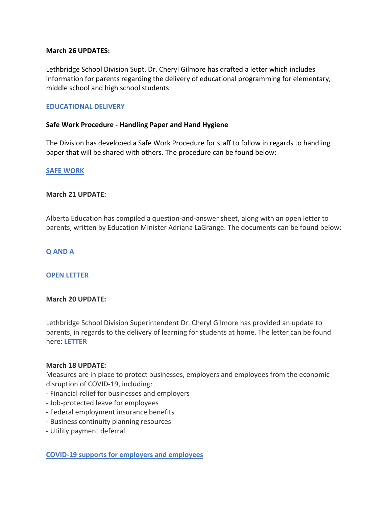## **March 26 UPDATES:**

Lethbridge School Division Supt. Dr. Cheryl Gilmore has drafted a letter which includes information for parents regarding the delivery of educational programming for elementary, middle school and high school students:

## **[EDUCATIONAL DELIVERY](http://www.lethsd.ab.ca/download/242911)**

## **Safe Work Procedure - Handling Paper and Hand Hygiene**

The Division has developed a Safe Work Procedure for staff to follow in regards to handling paper that will be shared with others. The procedure can be found below:

## **[SAFE WORK](http://www.lethsd.ab.ca/download/243022)**

## **March 21 UPDATE:**

Alberta Education has compiled a question-and-answer sheet, along with an open letter to parents, written by Education Minister Adriana LaGrange. The documents can be found below:

**[Q AND A](http://www.lethsd.ab.ca/download/241426)**

#### **[OPEN LETTER](http://www.lethsd.ab.ca/download/241423)**

#### **March 20 UPDATE:**

Lethbridge School Division Superintendent Dr. Cheryl Gilmore has provided an update to parents, in regards to the delivery of learning for students at home. The letter can be found here: **[LETTER](http://www.lethsd.ab.ca/download/241039)**

#### **March 18 UPDATE:**

Measures are in place to protect businesses, employers and employees from the economic disruption of COVID-19, including:

- Financial relief for businesses and employers
- Job-protected leave for employees
- Federal employment insurance benefits
- Business continuity planning resources
- Utility payment deferral

# **[COVID-19 supports for employers and employees](https://www.alberta.ca/coronavirus-info-for-albertans.aspx)**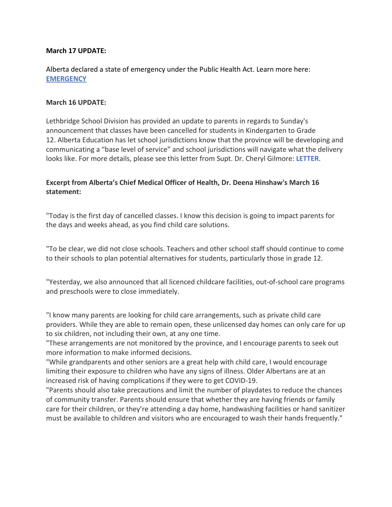# **March 17 UPDATE:**

Alberta declared a state of emergency under the Public Health Act. Learn more here: **[EMERGENCY](https://www.alberta.ca/release.cfm?xID=69828242A5FFC-D75A-C83E-690D8028C0C4E09F)**

## **March 16 UPDATE:**

Lethbridge School Division has provided an update to parents in regards to Sunday's announcement that classes have been cancelled for students in Kindergarten to Grade 12. Alberta Education has let school jurisdictions know that the province will be developing and communicating a "base level of service" and school jurisdictions will navigate what the delivery looks like. For more details, please see this letter from Supt. Dr. Cheryl Gilmore: **[LETTER](http://www.lethsd.ab.ca/download/239562)**.

# **Excerpt from Alberta's Chief Medical Officer of Health, Dr. Deena Hinshaw's March 16 statement:**

"Today is the first day of cancelled classes. I know this decision is going to impact parents for the days and weeks ahead, as you find child care solutions.

"To be clear, we did not close schools. Teachers and other school staff should continue to come to their schools to plan potential alternatives for students, particularly those in grade 12.

"Yesterday, we also announced that all licenced childcare facilities, out-of-school care programs and preschools were to close immediately.

"I know many parents are looking for child care arrangements, such as private child care providers. While they are able to remain open, these unlicensed day homes can only care for up to six children, not including their own, at any one time.

"These arrangements are not monitored by the province, and I encourage parents to seek out more information to make informed decisions.

"While grandparents and other seniors are a great help with child care, I would encourage limiting their exposure to children who have any signs of illness. Older Albertans are at an increased risk of having complications if they were to get COVID-19.

"Parents should also take precautions and limit the number of playdates to reduce the chances of community transfer. Parents should ensure that whether they are having friends or family care for their children, or they're attending a day home, handwashing facilities or hand sanitizer must be available to children and visitors who are encouraged to wash their hands frequently."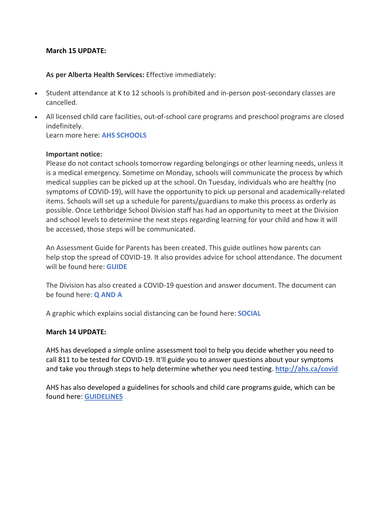## **March 15 UPDATE:**

**As per Alberta Health Services:** Effective immediately:

- Student attendance at K to 12 schools is prohibited and in-person post-secondary classes are cancelled.
- All licensed child care facilities, out-of-school care programs and preschool programs are closed indefinitely. Learn more here: **[AHS SCHOOLS](https://www.alberta.ca/coronavirus-info-for-albertans.aspx)**

#### **Important notice:**

Please do not contact schools tomorrow regarding belongings or other learning needs, unless it is a medical emergency. Sometime on Monday, schools will communicate the process by which medical supplies can be picked up at the school. On Tuesday, individuals who are healthy (no symptoms of COVID-19), will have the opportunity to pick up personal and academically-related items. Schools will set up a schedule for parents/guardians to make this process as orderly as possible. Once Lethbridge School Division staff has had an opportunity to meet at the Division and school levels to determine the next steps regarding learning for your child and how it will be accessed, those steps will be communicated.

An Assessment Guide for Parents has been created. This guide outlines how parents can help stop the spread of COVID-19. It also provides advice for school attendance. The document will be found here: **[GUIDE](http://www.lethsd.ab.ca/download/239096)**

The Division has also created a COVID-19 question and answer document. The document can be found here: **[Q AND A](http://www.lethsd.ab.ca/download/239136)**

A graphic which explains social distancing can be found here: **[SOCIAL](http://www.lethsd.ab.ca/download/239176)**

#### **March 14 UPDATE:**

AHS has developed a simple online assessment tool to help you decide whether you need to call 811 to be tested for COVID-19. It'll guide you to answer questions about your symptoms and take you through steps to help determine whether you need testing. **[http://ahs.ca/covid](https://t.co/BdqfLt1Gu2?amp=1)**

AHS has also developed a guidelines for schools and child care programs guide, which can be found here: **[GUIDELINES](https://www.alberta.ca/assets/documents/covid19-alberta-guidance-for-schools-and-child-care-programs.pdf)**